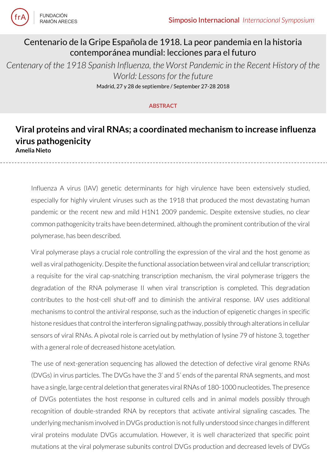

**FUNDACIÓN** RAMÓN ARFCES

## Centenario de la Gripe Española de 1918. La peor pandemia en la historia contemporánea mundial: lecciones para el futuro

*Centenary of the 1918 Spanish Influenza, the Worst Pandemic in the Recent History of the World: Lessons for the future*

Madrid, 27 y 28 de septiembre / September 27-28 2018

## **ABSTRACT**

## **Viral proteins and viral RNAs; a coordinated mechanism to increase influenza virus pathogenicity Amelia Nieto**

Influenza A virus (IAV) genetic determinants for high virulence have been extensively studied, especially for highly virulent viruses such as the 1918 that produced the most devastating human pandemic or the recent new and mild H1N1 2009 pandemic. Despite extensive studies, no clear common pathogenicity traits have been determined, although the prominent contribution of the viral polymerase, has been described.

Viral polymerase plays a crucial role controlling the expression of the viral and the host genome as well as viral pathogenicity. Despite the functional association between viral and cellular transcription; a requisite for the viral cap-snatching transcription mechanism, the viral polymerase triggers the degradation of the RNA polymerase II when viral transcription is completed. This degradation contributes to the host-cell shut-off and to diminish the antiviral response. IAV uses additional mechanisms to control the antiviral response, such as the induction of epigenetic changes in specific histone residues that control the interferon signaling pathway, possibly through alterations in cellular sensors of viral RNAs. A pivotal role is carried out by methylation of lysine 79 of histone 3, together with a general role of decreased histone acetylation.

The use of next-generation sequencing has allowed the detection of defective viral genome RNAs (DVGs) in virus particles. The DVGs have the 3' and 5' ends of the parental RNA segments, and most have a single, large central deletion that generates viral RNAs of 180-1000 nucleotides. The presence of DVGs potentiates the host response in cultured cells and in animal models possibly through recognition of double-stranded RNA by receptors that activate antiviral signaling cascades. The underlying mechanism involved in DVGs production is not fully understood since changes in different viral proteins modulate DVGs accumulation. However, it is well characterized that specific point mutations at the viral polymerase subunits control DVGs production and decreased levels of DVGs